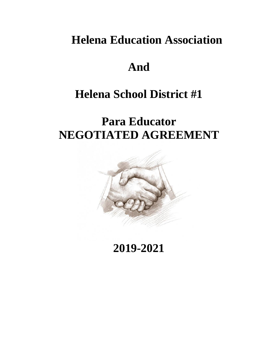# **Helena Education Association**

# **And**

# **Helena School District #1**

# **Para Educator NEGOTIATED AGREEMENT**



# **2019-2021**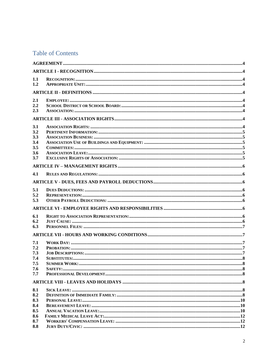# **Table of Contents**

| 1.1<br>1.2<br>2.1<br>2.2<br>2.3<br>3.1<br>3.2<br>3.3<br>3.4<br>3.5<br>3.6<br>3.7<br>4.1<br>5.1<br>5.2<br>5.3<br>6.1<br>6.2<br>6.3<br>7.1<br>7.2<br>7.3<br>7.4<br>7.5<br>7.6<br>7.7<br>8.2<br>8.3<br>8.4<br>8.5<br>8.6<br>8.7 |     |  |  |  |  |  |  |  |  |
|------------------------------------------------------------------------------------------------------------------------------------------------------------------------------------------------------------------------------|-----|--|--|--|--|--|--|--|--|
|                                                                                                                                                                                                                              |     |  |  |  |  |  |  |  |  |
|                                                                                                                                                                                                                              |     |  |  |  |  |  |  |  |  |
|                                                                                                                                                                                                                              |     |  |  |  |  |  |  |  |  |
|                                                                                                                                                                                                                              |     |  |  |  |  |  |  |  |  |
|                                                                                                                                                                                                                              |     |  |  |  |  |  |  |  |  |
|                                                                                                                                                                                                                              |     |  |  |  |  |  |  |  |  |
|                                                                                                                                                                                                                              |     |  |  |  |  |  |  |  |  |
|                                                                                                                                                                                                                              |     |  |  |  |  |  |  |  |  |
|                                                                                                                                                                                                                              |     |  |  |  |  |  |  |  |  |
|                                                                                                                                                                                                                              |     |  |  |  |  |  |  |  |  |
|                                                                                                                                                                                                                              |     |  |  |  |  |  |  |  |  |
|                                                                                                                                                                                                                              |     |  |  |  |  |  |  |  |  |
|                                                                                                                                                                                                                              |     |  |  |  |  |  |  |  |  |
|                                                                                                                                                                                                                              |     |  |  |  |  |  |  |  |  |
|                                                                                                                                                                                                                              |     |  |  |  |  |  |  |  |  |
|                                                                                                                                                                                                                              |     |  |  |  |  |  |  |  |  |
|                                                                                                                                                                                                                              |     |  |  |  |  |  |  |  |  |
|                                                                                                                                                                                                                              |     |  |  |  |  |  |  |  |  |
|                                                                                                                                                                                                                              |     |  |  |  |  |  |  |  |  |
|                                                                                                                                                                                                                              |     |  |  |  |  |  |  |  |  |
|                                                                                                                                                                                                                              |     |  |  |  |  |  |  |  |  |
|                                                                                                                                                                                                                              |     |  |  |  |  |  |  |  |  |
|                                                                                                                                                                                                                              |     |  |  |  |  |  |  |  |  |
|                                                                                                                                                                                                                              |     |  |  |  |  |  |  |  |  |
|                                                                                                                                                                                                                              |     |  |  |  |  |  |  |  |  |
|                                                                                                                                                                                                                              |     |  |  |  |  |  |  |  |  |
|                                                                                                                                                                                                                              |     |  |  |  |  |  |  |  |  |
|                                                                                                                                                                                                                              |     |  |  |  |  |  |  |  |  |
|                                                                                                                                                                                                                              |     |  |  |  |  |  |  |  |  |
|                                                                                                                                                                                                                              |     |  |  |  |  |  |  |  |  |
|                                                                                                                                                                                                                              |     |  |  |  |  |  |  |  |  |
|                                                                                                                                                                                                                              |     |  |  |  |  |  |  |  |  |
|                                                                                                                                                                                                                              |     |  |  |  |  |  |  |  |  |
|                                                                                                                                                                                                                              |     |  |  |  |  |  |  |  |  |
|                                                                                                                                                                                                                              | 8.1 |  |  |  |  |  |  |  |  |
|                                                                                                                                                                                                                              |     |  |  |  |  |  |  |  |  |
|                                                                                                                                                                                                                              |     |  |  |  |  |  |  |  |  |
|                                                                                                                                                                                                                              |     |  |  |  |  |  |  |  |  |
|                                                                                                                                                                                                                              |     |  |  |  |  |  |  |  |  |
|                                                                                                                                                                                                                              |     |  |  |  |  |  |  |  |  |
|                                                                                                                                                                                                                              | 8.8 |  |  |  |  |  |  |  |  |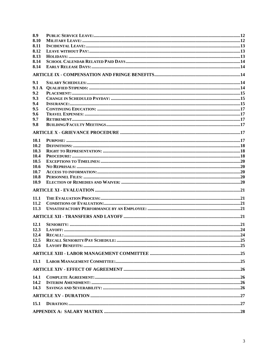| 8.9  |  |
|------|--|
| 8.10 |  |
| 8.11 |  |
| 8.12 |  |
| 8.13 |  |
| 8.14 |  |
| 8.14 |  |
|      |  |
| 9.1  |  |
| 9.1A |  |
| 9.2  |  |
| 9.3  |  |
| 9.4  |  |
| 9.5  |  |
| 9.6  |  |
| 9.7  |  |
| 9.8  |  |
|      |  |
| 10.1 |  |
| 10.2 |  |
| 10.3 |  |
| 10.4 |  |
| 10.5 |  |
| 10.6 |  |
| 10.7 |  |
| 10.8 |  |
| 10.9 |  |
|      |  |
| 11.1 |  |
| 11.2 |  |
| 11.3 |  |
|      |  |
| 12.1 |  |
| 12.3 |  |
| 12.4 |  |
| 12.5 |  |
| 12.6 |  |
|      |  |
| 13.1 |  |
|      |  |
| 14.1 |  |
| 14.2 |  |
| 14.3 |  |
|      |  |
| 15.1 |  |
|      |  |
|      |  |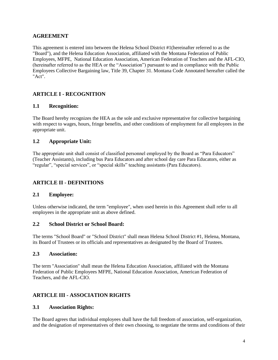## <span id="page-3-0"></span>**AGREEMENT**

This agreement is entered into between the Helena School District #1(hereinafter referred to as the "Board"), and the Helena Education Association, affiliated with the Montana Federation of Public Employees, MFPE, National Education Association, American Federation of Teachers and the AFL-CIO, (hereinafter referred to as the HEA or the "Association") pursuant to and in compliance with the Public Employees Collective Bargaining law, Title 39, Chapter 31. Montana Code Annotated hereafter called the "Act".

# <span id="page-3-1"></span>**ARTICLE I - RECOGNITION**

#### <span id="page-3-2"></span>**1.1 Recognition:**

The Board hereby recognizes the HEA as the sole and exclusive representative for collective bargaining with respect to wages, hours, fringe benefits, and other conditions of employment for all employees in the appropriate unit.

#### <span id="page-3-3"></span>**1.2 Appropriate Unit:**

The appropriate unit shall consist of classified personnel employed by the Board as "Para Educators" (Teacher Assistants), including bus Para Educators and after school day care Para Educators, either as "regular", "special services", or "special skills" teaching assistants (Para Educators).

# <span id="page-3-4"></span>**ARTICLE II - DEFINITIONS**

#### <span id="page-3-5"></span>**2.1 Employee:**

Unless otherwise indicated, the term "employee", when used herein in this Agreement shall refer to all employees in the appropriate unit as above defined.

#### <span id="page-3-6"></span>**2.2 School District or School Board:**

The terms "School Board" or "School District" shall mean Helena School District #1, Helena, Montana, its Board of Trustees or its officials and representatives as designated by the Board of Trustees.

#### <span id="page-3-7"></span>**2.3 Association:**

The term "Association" shall mean the Helena Education Association, affiliated with the Montana Federation of Public Employees MFPE, National Education Association, American Federation of Teachers, and the AFL-CIO.

#### <span id="page-3-8"></span>**ARTICLE III - ASSOCIATION RIGHTS**

#### <span id="page-3-9"></span>**3.1 Association Rights:**

The Board agrees that individual employees shall have the full freedom of association, self-organization, and the designation of representatives of their own choosing, to negotiate the terms and conditions of their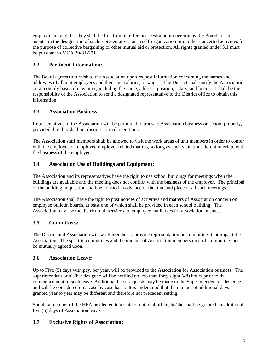employment, and that they shall be free from interference, restraint or coercion by the Board, or its agents, in the designation of such representatives or in self-organization or in other concerted activities for the purpose of collective bargaining or other mutual aid or protection. All rights granted under 3.1 must be pursuant to MCA 39-31-201.

# <span id="page-4-0"></span>**3.2 Pertinent Information:**

The Board agrees to furnish to the Association upon request information concerning the names and addresses of all unit employees and their unit salaries, or wages. The District shall notify the Association on a monthly basis of new hires, including the name, address, position, salary, and hours. It shall be the responsibility of the Association to send a designated representative to the District office to obtain this information.

# <span id="page-4-1"></span>**3.3 Association Business:**

Representatives of the Association will be permitted to transact Association business on school property, provided that this shall not disrupt normal operations.

The Association staff members shall be allowed to visit the work areas of unit members in order to confer with the employee on employee-employer related matters, so long as such visitations do not interfere with the business of the employer.

# <span id="page-4-2"></span>**3.4 Association Use of Buildings and Equipment:**

The Association and its representatives have the right to use school buildings for meetings when the buildings are available and the meeting does not conflict with the business of the employer. The principal of the building in question shall be notified in advance of the time and place of all such meetings.

The Association shall have the right to post notices of activities and matters of Association concern on employee bulletin boards, at least one of which shall be provided in each school building. The Association may use the district mail service and employee mailboxes for association business.

# <span id="page-4-3"></span>**3.5 Committees:**

The District and Association will work together to provide representation on committees that impact the Association. The specific committees and the number of Association members on each committee must be mutually agreed upon.

# <span id="page-4-4"></span>**3.6 Association Leave:**

Up to Five (5) days with pay, per year, will be provided to the Association for Association business. The superintendent or his/her designee will be notified no less than forty-eight (48) hours prior to the commencement of such leave. Additional leave requests may be made to the Superintendent or designee and will be considered on a case by case basis. It is understood that the number of additional days granted year to year may be different and therefore not precedent setting.

Should a member of the HEA be elected to a state or national office, he/she shall be granted an additional five (5) days of Association leave.

# <span id="page-4-5"></span>**3.7 Exclusive Rights of Association:**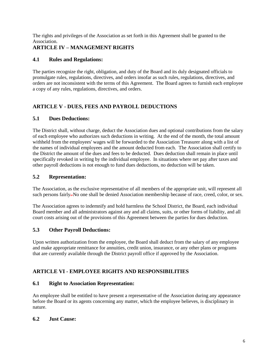The rights and privileges of the Association as set forth in this Agreement shall be granted to the Association.

# <span id="page-5-0"></span>**ARTICLE IV – MANAGEMENT RIGHTS**

# <span id="page-5-1"></span>**4.1 Rules and Regulations:**

The parties recognize the right, obligation, and duty of the Board and its duly designated officials to promulgate rules, regulations, directives, and orders insofar as such rules, regulations, directives, and orders are not inconsistent with the terms of this Agreement. The Board agrees to furnish each employee a copy of any rules, regulations, directives, and orders.

# <span id="page-5-2"></span>**ARTICLE V - DUES, FEES AND PAYROLL DEDUCTIONS**

#### <span id="page-5-3"></span>**5.1 Dues Deductions:**

The District shall, without charge, deduct the Association dues and optional contributions from the salary of each employee who authorizes such deductions in writing. At the end of the month, the total amount withheld from the employees' wages will be forwarded to the Association Treasurer along with a list of the names of individual employees and the amount deducted from each. The Association shall certify to the District the amount of the dues and fees to be deducted. Dues deduction shall remain in place until specifically revoked in writing by the individual employee. In situations where net pay after taxes and other payroll deductions is not enough to fund dues deductions, no deduction will be taken.

## <span id="page-5-4"></span>**5.2 Representation:**

The Association, as the exclusive representative of all members of the appropriate unit, will represent all such persons fairly–No one shall be denied Association membership because of race, creed, color, or sex.

The Association agrees to indemnify and hold harmless the School District, the Board, each individual Board member and all administrators against any and all claims, suits, or other forms of liability, and all court costs arising out of the provisions of this Agreement between the parties for dues deduction.

# <span id="page-5-5"></span>**5.3 Other Payroll Deductions:**

Upon written authorization from the employee, the Board shall deduct from the salary of any employee and make appropriate remittance for annuities, credit union, insurance, or any other plans or programs that are currently available through the District payroll office if approved by the Association.

# <span id="page-5-6"></span>**ARTICLE VI - EMPLOYEE RIGHTS AND RESPONSIBILITIES**

#### <span id="page-5-7"></span>**6.1 Right to Association Representation:**

An employee shall be entitled to have present a representative of the Association during any appearance before the Board or its agents concerning any matter, which the employee believes, is disciplinary in nature.

#### <span id="page-5-8"></span>**6.2 Just Cause:**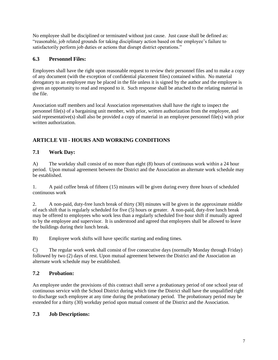No employee shall be disciplined or terminated without just cause. Just cause shall be defined as: "reasonable, job related grounds for taking disciplinary action based on the employee's failure to satisfactorily perform job duties or actions that disrupt district operations."

# <span id="page-6-0"></span>**6.3 Personnel Files:**

Employees shall have the right upon reasonable request to review their personnel files and to make a copy of any document (with the exception of confidential placement files) contained within. No material derogatory to an employee may be placed in the file unless it is signed by the author and the employee is given an opportunity to read and respond to it. Such response shall be attached to the relating material in the file.

Association staff members and local Association representatives shall have the right to inspect the personnel file(s) of a bargaining unit member, with prior, written authorization from the employee, and said representative(s) shall also be provided a copy of material in an employee personnel file(s) with prior written authorization.

# <span id="page-6-1"></span>**ARTICLE VII - HOURS AND WORKING CONDITIONS**

# <span id="page-6-2"></span>**7.1 Work Day:**

A) The workday shall consist of no more than eight (8) hours of continuous work within a 24 hour period. Upon mutual agreement between the District and the Association an alternate work schedule may be established.

1. A paid coffee break of fifteen (15) minutes will be given during every three hours of scheduled continuous work

2. A non-paid, duty-free lunch break of thirty (30) minutes will be given in the approximate middle of each shift that is regularly scheduled for five (5) hours or greater. A non-paid, duty-free lunch break may be offered to employees who work less than a regularly scheduled five hour shift if mutually agreed to by the employee and supervisor. It is understood and agreed that employees shall be allowed to leave the buildings during their lunch break.

B) Employee work shifts will have specific starting and ending times.

C) The regular work week shall consist of five consecutive days (normally Monday through Friday) followed by two (2) days of rest. Upon mutual agreement between the District and the Association an alternate work schedule may be established.

# <span id="page-6-3"></span>**7.2 Probation:**

An employee under the provisions of this contract shall serve a probationary period of one school year of continuous service with the School District during which time the District shall have the unqualified right to discharge such employee at any time during the probationary period. The probationary period may be extended for a thirty (30) workday period upon mutual consent of the District and the Association.

# <span id="page-6-4"></span>**7.3 Job Descriptions:**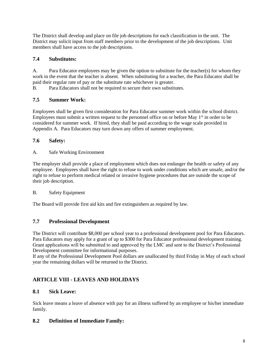The District shall develop and place on file job descriptions for each classification in the unit. The District may solicit input from staff members prior to the development of the job descriptions. Unit members shall have access to the job descriptions.

# <span id="page-7-0"></span>**7.4 Substitutes:**

A. Para Educator employees may be given the option to substitute for the teacher(s) for whom they work in the event that the teacher is absent. When substituting for a teacher, the Para Educator shall be paid their regular rate of pay or the substitute rate whichever is greater.

B. Para Educators shall not be required to secure their own substitutes.

# <span id="page-7-1"></span>**7.5 Summer Work:**

Employees shall be given first consideration for Para Educator summer work within the school district. Employees must submit a written request to the personnel office on or before May  $1<sup>st</sup>$  in order to be considered for summer work. If hired, they shall be paid according to the wage scale provided in Appendix A. Para Educators may turn down any offers of summer employment.

# <span id="page-7-2"></span>**7.6 Safety:**

A. Safe Working Environment

The employer shall provide a place of employment which does not endanger the health or safety of any employee. Employees shall have the right to refuse to work under conditions which are unsafe, and/or the right to refuse to perform medical related or invasive hygiene procedures that are outside the scope of their job description.

# B. Safety Equipment

The Board will provide first aid kits and fire extinguishers as required by law.

# <span id="page-7-3"></span>**7.7 Professional Development**

The District will contribute \$8,000 per school year to a professional development pool for Para Educators. Para Educators may apply for a grant of up to \$300 for Para Educator professional development training. Grant applications will be submitted to and approved by the LMC and sent to the District's Professional Development committee for informational purposes.

If any of the Professional Development Pool dollars are unallocated by third Friday in May of each school year the remaining dollars will be returned to the District.

# <span id="page-7-4"></span>**ARTICLE VIII - LEAVES AND HOLIDAYS**

# <span id="page-7-5"></span>**8.1 Sick Leave:**

Sick leave means a leave of absence with pay for an illness suffered by an employee or his/her immediate family.

# <span id="page-7-6"></span>**8.2 Definition of Immediate Family:**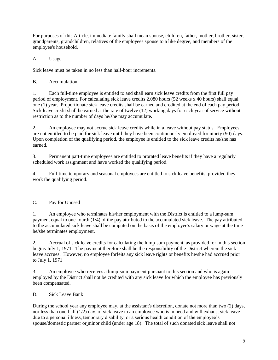For purposes of this Article, immediate family shall mean spouse, children, father, mother, brother, sister, grandparents, grandchildren, relatives of the employees spouse to a like degree, and members of the employee's household.

A. Usage

Sick leave must be taken in no less than half-hour increments.

B. Accumulation

1. Each full-time employee is entitled to and shall earn sick leave credits from the first full pay period of employment. For calculating sick leave credits 2,080 hours (52 weeks x 40 hours) shall equal one (1) year. Proportionate sick leave credits shall be earned and credited at the end of each pay period. Sick leave credit shall be earned at the rate of twelve (12) working days for each year of service without restriction as to the number of days he/she may accumulate.

2. An employee may not accrue sick leave credits while in a leave without pay status. Employees are not entitled to be paid for sick leave until they have been continuously employed for ninety (90) days. Upon completion of the qualifying period, the employee is entitled to the sick leave credits he/she has earned.

3. Permanent part-time employees are entitled to prorated leave benefits if they have a regularly scheduled work assignment and have worked the qualifying period.

4. Full-time temporary and seasonal employees are entitled to sick leave benefits, provided they work the qualifying period.

# C. Pay for Unused

1. An employee who terminates his/her employment with the District is entitled to a lump-sum payment equal to one-fourth (1/4) of the pay attributed to the accumulated sick leave. The pay attributed to the accumulated sick leave shall be computed on the basis of the employee's salary or wage at the time he/she terminates employment.

2. Accrual of sick leave credits for calculating the lump-sum payment, as provided for in this section begins July 1, 1971. The payment therefore shall be the responsibility of the District wherein the sick leave accrues. However, no employee forfeits any sick leave rights or benefits he/she had accrued prior to July 1, 1971

3. An employee who receives a lump-sum payment pursuant to this section and who is again employed by the District shall not be credited with any sick leave for which the employee has previously been compensated.

D. Sick Leave Bank

During the school year any employee may, at the assistant's discretion, donate not more than two (2) days, nor less than one-half (1/2) day, of sick leave to an employee who is in need and will exhaust sick leave due to a personal illness, temporary disability, or a serious health condition of the employee's spouse/domestic partner or minor child (under age 18). The total of such donated sick leave shall not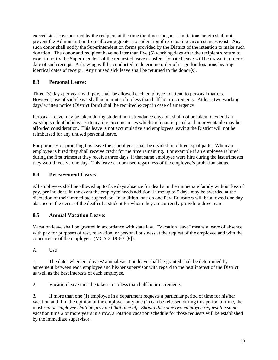exceed sick leave accrued by the recipient at the time the illness began. Limitations herein shall not prevent the Administration from allowing greater consideration if extenuating circumstances exist. Any such donor shall notify the Superintendent on forms provided by the District of the intention to make such donation. The donor and recipient have no later than five (5) working days after the recipient's return to work to notify the Superintendent of the requested leave transfer. Donated leave will be drawn in order of date of such receipt. A drawing will be conducted to determine order of usage for donations bearing identical dates of receipt. Any unused sick leave shall be returned to the donor(s).

# <span id="page-9-0"></span>**8.3 Personal Leave:**

Three (3) days per year, with pay, shall be allowed each employee to attend to personal matters. However, use of such leave shall be in units of no less than half-hour increments. At least two working days' written notice (District form) shall be required except in case of emergency.

Personal Leave may be taken during student non-attendance days but shall not be taken to extend an existing student holiday. Extenuating circumstances which are unanticipated and unpreventable may be afforded consideration. This leave is not accumulative and employees leaving the District will not be reimbursed for any unused personal leave.

For purposes of prorating this leave the school year shall be divided into three equal parts. When an employee is hired they shall receive credit for the time remaining. For example if an employee is hired during the first trimester they receive three days, if that same employee were hire during the last trimester they would receive one day. This leave can be used regardless of the employee's probation status.

# <span id="page-9-1"></span>**8.4 Bereavement Leave:**

All employees shall be allowed up to five days absence for deaths in the immediate family without loss of pay, per incident. In the event the employee needs additional time up to 5 days may be awarded at the discretion of their immediate supervisor. In addition, one on one Para Educators will be allowed one day absence in the event of the death of a student for whom they are currently providing direct care.

# <span id="page-9-2"></span>**8.5 Annual Vacation Leave:**

Vacation leave shall be granted in accordance with state law. "Vacation leave" means a leave of absence with pay for purposes of rest, relaxation, or personal business at the request of the employee and with the concurrence of the employer. (MCA 2-18-601[8]).

A. Use

1. The dates when employees' annual vacation leave shall be granted shall be determined by agreement between each employee and his/her supervisor with regard to the best interest of the District, as well as the best interests of each employee.

2. Vacation leave must be taken in no less than half-hour increments.

3. If more than one (1) employee in a department requests a particular period of time for his/her vacation and if in the opinion of the employer only one (1) can be released during this period of time, the most *senior employee shall be provided that time off. Should the same two employee request the same* vacation time 2 or more years in a row, a rotation vacation schedule for those requests will be established by the immediate supervisor.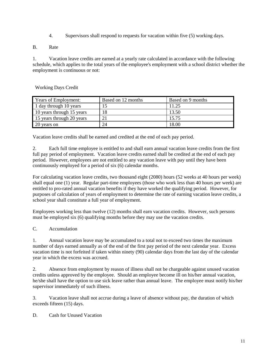- 4. Supervisors shall respond to requests for vacation within five (5) working days.
- B. Rate

1. Vacation leave credits are earned at a yearly rate calculated in accordance with the following schedule, which applies to the total years of the employee's employment with a school district whether the employment is continuous or not:

Working Days Credit

| <b>Years of Employment:</b> | Based on 12 months | Based on 9 months |  |  |  |
|-----------------------------|--------------------|-------------------|--|--|--|
| 1 day through 10 years      |                    | 11.25             |  |  |  |
| 10 years through 15 years   | 18                 | 13.50             |  |  |  |
| 15 years through 20 years   | $\overline{2}$     | 15.75             |  |  |  |
| 20 years on                 | 24                 | 18.00             |  |  |  |

Vacation leave credits shall be earned and credited at the end of each pay period.

2. Each full time employee is entitled to and shall earn annual vacation leave credits from the first full pay period of employment. Vacation leave credits earned shall be credited at the end of each pay period. However, employees are not entitled to any vacation leave with pay until they have been continuously employed for a period of six (6) calendar months.

For calculating vacation leave credits, two thousand eight (2080) hours (52 weeks at 40 hours per week) shall equal one (1) year. Regular part-time employees (those who work less than 40 hours per week) are entitled to pro-rated annual vacation benefits if they have worked the qualifying period. However, for purposes of calculation of years of employment to determine the rate of earning vacation leave credits, a school year shall constitute a full year of employment.

Employees working less than twelve (12) months shall earn vacation credits. However, such persons must be employed six (6) qualifying months before they may use the vacation credits.

C. Accumulation

1. Annual vacation leave may be accumulated to a total not to exceed two times the maximum number of days earned annually as of the end of the first pay period of the next calendar year. Excess vacation time is not forfeited if taken within ninety (90) calendar days from the last day of the calendar year in which the excess was accrued.

2. Absence from employment by reason of illness shall not be chargeable against unused vacation credits unless approved by the employee. Should an employee become ill on his/her annual vacation, he/she shall have the option to use sick leave rather than annual leave. The employee must notify his/her supervisor immediately of such illness.

3. Vacation leave shall not accrue during a leave of absence without pay, the duration of which exceeds fifteen (15) days.

D. Cash for Unused Vacation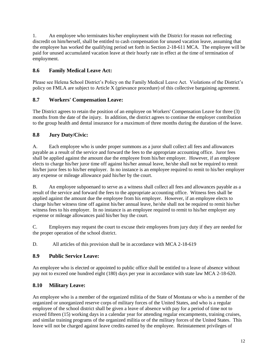1. An employee who terminates his/her employment with the District for reason not reflecting discredit on him/herself, shall be entitled to cash compensation for unused vacation leave, assuming that the employee has worked the qualifying period set forth in Section 2-18-611 MCA. The employee will be paid for unused accumulated vacation leave at their hourly rate in effect at the time of termination of employment.

# <span id="page-11-0"></span>**8.6 Family Medical Leave Act:**

Please see Helena School District's Policy on the Family Medical Leave Act. Violations of the District's policy on FMLA are subject to Article X (grievance procedure) of this collective bargaining agreement.

# <span id="page-11-1"></span>**8.7 Workers' Compensation Leave:**

The District agrees to retain the position of an employee on Workers' Compensation Leave for three (3) months from the date of the injury. In addition, the district agrees to continue the employer contribution to the group health and dental insurance for a maximum of three months during the duration of the leave.

# <span id="page-11-2"></span>**8.8 Jury Duty/Civic:**

A. Each employee who is under proper summons as a juror shall collect all fees and allowances payable as a result of the service and forward the fees to the appropriate accounting office. Juror fees shall be applied against the amount due the employee from his/her employer. However, if an employee elects to charge his/her juror time off against his/her annual leave, he/she shall not be required to remit his/her juror fees to his/her employer. In no instance is an employee required to remit to his/her employer any expense or mileage allowance paid his/her by the court.

B. An employee subpoenaed to serve as a witness shall collect all fees and allowances payable as a result of the service and forward the fees to the appropriate accounting office. Witness fees shall be applied against the amount due the employee from his employer. However, if an employee elects to charge his/her witness time off against his/her annual leave, he/she shall not be required to remit his/her witness fees to his employer. In no instance is an employee required to remit to his/her employer any expense or mileage allowances paid his/her buy the court.

C. Employers may request the court to excuse their employees from jury duty if they are needed for the proper operation of the school district.

D. All articles of this provision shall be in accordance with MCA 2-18-619

# <span id="page-11-3"></span>**8.9 Public Service Leave:**

An employee who is elected or appointed to public office shall be entitled to a leave of absence without pay not to exceed one hundred eight (180) days per year in accordance with state law MCA 2-18-620.

# <span id="page-11-4"></span>**8.10 Military Leave:**

An employee who is a member of the organized militia of the State of Montana or who is a member of the organized or unorganized reserve corps of military forces of the United States, and who is a regular employee of the school district shall be given a leave of absence with pay for a period of time not to exceed fifteen (15) working days in a calendar year for attending regular encampments, training cruises, and similar training programs of the organized militia or of the military forces of the United States. This leave will not be charged against leave credits earned by the employee. Reinstatement privileges of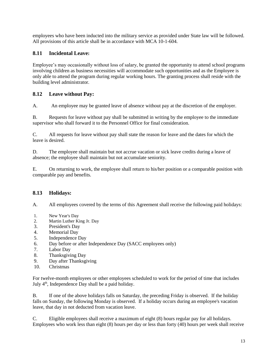employees who have been inducted into the military service as provided under State law will be followed. All provisions of this article shall be in accordance with MCA 10-1-604.

# <span id="page-12-0"></span>**8.11 Incidental Leave:**

Employee's may occasionally without loss of salary, be granted the opportunity to attend school programs involving children as business necessities will accommodate such opportunities and as the Employee is only able to attend the program during regular working hours. The granting process shall reside with the building level administrator.

# <span id="page-12-1"></span>**8.12 Leave without Pay:**

A. An employee may be granted leave of absence without pay at the discretion of the employer.

B. Requests for leave without pay shall be submitted in writing by the employee to the immediate supervisor who shall forward it to the Personnel Office for final consideration.

C. All requests for leave without pay shall state the reason for leave and the dates for which the leave is desired.

D. The employee shall maintain but not accrue vacation or sick leave credits during a leave of absence; the employee shall maintain but not accumulate seniority.

E. On returning to work, the employee shall return to his/her position or a comparable position with comparable pay and benefits.

# <span id="page-12-2"></span>**8.13 Holidays:**

A. All employees covered by the terms of this Agreement shall receive the following paid holidays:

- 1. New Year's Day
- 2. Martin Luther King Jr. Day
- 3. President's Day
- 4. Memorial Day
- 5. Independence Day
- 6. Day before or after Independence Day (SACC employees only)
- 7. Labor Day
- 8. Thanksgiving Day
- 9. Day after Thanksgiving
- 10. Christmas

For twelve-month employees or other employees scheduled to work for the period of time that includes July 4th, Independence Day shall be a paid holiday.

B. If one of the above holidays falls on Saturday, the preceding Friday is observed. If the holiday falls on Sunday, the following Monday is observed. If a holiday occurs during an employee's vacation leave, that day in not deducted from vacation leave.

C. Eligible employees shall receive a maximum of eight (8) hours regular pay for all holidays. Employees who work less than eight (8) hours per day or less than forty (40) hours per week shall receive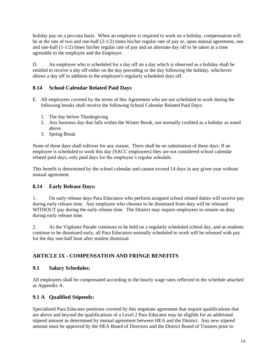holiday pay on a pro-rata basis. When an employee is required to work on a holiday, compensation will be at the rate of two and one-half (2-1/2) times his/her regular rate of pay or, upon mutual agreement, one and one-half  $(1-1/2)$  times his/her regular rate of pay and an alternate day off to be taken at a time agreeable to the employee and the Employer.

D. An employee who is scheduled for a day off on a day which is observed as a holiday shall be entitled to receive a day off either on the day preceding or the day following the holiday, whichever allows a day off in addition to the employee's regularly scheduled days off.

# <span id="page-13-0"></span>**8.14 School Calendar Related Paid Days**

- E. All employees covered by the terms of this Agreement who are not scheduled to work during the following breaks shall receive the following School Calendar Related Paid Days:
	- 1. The day before Thanksgiving
	- 2. Any business day that falls within the Winter Break, not normally credited as a holiday as noted above
	- 3. Spring Break

None of these days shall rollover for any reason. There shall be no substitution of these days. If an employee is scheduled to work this day (SACC employees) they are not considered school calendar related paid days, only paid days for the employee's regular schedule.

This benefit is determined by the school calendar and cannot exceed 14 days in any given year without mutual agreement.

#### <span id="page-13-1"></span>**8.14 Early Release Days:**

1. On early release days Para Educators who perform assigned school related duties will receive pay during early release time. Any employee who chooses to be dismissed from duty will be released WITHOUT pay during the early release time. The District may require employees to remain on duty during early release time.

2. As the Vigilante Parade continues to be held on a regularly scheduled school day, and as students continue to be dismissed early, all Para Educators normally scheduled to work will be released with pay for the day one-half hour after student dismissal.

# <span id="page-13-2"></span>**ARTICLE IX - COMPENSATION AND FRINGE BENEFITS**

#### <span id="page-13-3"></span>**9.1 Salary Schedules:**

All employees shall be compensated according to the hourly wage rates reflected in the schedule attached as Appendix A.

# <span id="page-13-4"></span>**9.1 A Qualified Stipends:**

Specialized Para Educator positions covered by this negotiate agreement that require qualifications that are above and beyond the qualifications of a Level 2 Para Educator may be eligible for an additional stipend amount as determined by mutual agreement between HEA and the District. Any new stipend amount must be approved by the HEA Board of Directors and the District Board of Trustees prior to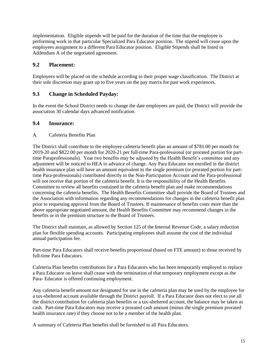implementation. Eligible stipends will be paid for the duration of the time that the employee is performing work in that particular Specialized Para Educator position. The stipend will cease upon the employees assignment to a different Para Educator position. Eligible Stipends shall be listed in Addendum A of the negotiated agreement.

## <span id="page-14-0"></span>**9.2 Placement:**

Employees will be placed on the schedule according to their proper wage classification. The District at their sole discretion may grant up to five years on the pay matrix for past work experiences.

## <span id="page-14-1"></span>**9.3 Change in Scheduled Payday:**

In the event the School District needs to change the date employees are paid, the District will provide the association 30 calendar days advanced notification.

#### <span id="page-14-2"></span>**9.4 Insurance:**

#### A. Cafeteria Benefits Plan

The District shall contribute to the employee cafeteria benefit plan an amount of \$781.00 per month for 2019-20 and \$822.00 per month for 2020-21 per full-time Para-professional (or prorated portion for parttime Paraprofessionals). Year two benefits may be adjusted by the Health Benefit's committee and any adjustment will be noticed to HEA in advance of change. Any Para Educator not enrolled in the district health insurance plan will have an amount equivalent to the single premium (or prorated portion for parttime Para-professionals) contributed directly to the Non-Participation Account and the Para-professional will not receive that portion of the cafeteria benefit. It is the responsibility of the Health Benefits Committee to review all benefits contained in the cafeteria benefit plan and make recommendations concerning the cafeteria benefits. The Health Benefits Committee shall provide the Board of Trustees and the Association with information regarding any recommendations for changes in the cafeteria benefit plan prior to requesting approval from the Board of Trustees. If maintenance of benefits costs more than the above appropriate negotiated amount, the Health Benefits Committee may recommend changes in the benefits or in the premium structure to the Board of Trustees.

The District shall maintain, as allowed by Section 125 of the Internal Revenue Code, a salary reduction plan for flexible spending accounts. Participating employees shall assume the cost of the individual annual participation fee.

Part-time Para Educators shall receive benefits proportional (based on FTE amount) to those received by full-time Para Educators.

Cafeteria Plan benefits contributions for a Para Educators who has been temporarily employed to replace a Para Educator on leave shall cease with the termination of that temporary employment except as the Para- Educator is offered continuing employment.

Any cafeteria benefit amount not designated for use in the cafeteria plan may be used by the employee for a tax-sheltered account available through the District payroll. If a Para Educator does not elect to use all the district contribution for cafeteria plan benefits or a tax-sheltered account, the balance may be taken as cash. Part-time Para Educators may receive a prorated cash amount (minus the single premium prorated health insurance rate) if they choose not to be a member of the health plan.

A summary of Cafeteria Plan benefits shall be furnished to all Para Educators.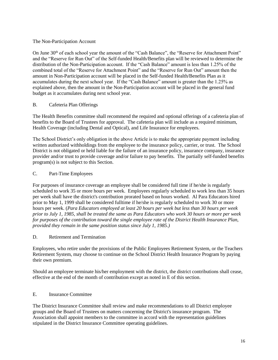#### The Non-Participation Account

On June 30<sup>th</sup> of each school year the amount of the "Cash Balance", the "Reserve for Attachment Point" and the "Reserve for Run Out" of the Self-funded Health/Benefits plan will be reviewed to determine the distribution of the Non-Participation account. If the "Cash Balance" amount is less than 1.25% of the combined total of the "Reserve for Attachment Point" and the "Reserve for Run Out" amount then the amount in Non-Participation account will be placed in the Self-funded Health/Benefits Plan as it accumulates during the next school year. If the "Cash Balance" amount is greater than the 1.25% as explained above, then the amount in the Non-Participation account will be placed in the general fund budget as it accumulates during next school year.

#### B. Cafeteria Plan Offerings

The Health Benefits committee shall recommend the required and optional offerings of a cafeteria plan of benefits to the Board of Trustees for approval. The cafeteria plan will include as a required minimum, Health Coverage (including Dental and Optical), and Life Insurance for employees.

The School District's only obligation in the above Article is to make the appropriate payment including written authorized withholdings from the employee to the insurance policy, carrier, or trust. The School District is not obligated or held liable for the failure of an insurance policy, insurance company, insurance provider and/or trust to provide coverage and/or failure to pay benefits. The partially self-funded benefits program(s) is not subject to this Section.

#### C. Part-Time Employees

For purposes of insurance coverage an employee shall be considered full time if he/she is regularly scheduled to work 35 or more hours per week. Employees regularly scheduled to work less than 35 hours per week shall have the district's contribution prorated based on hours worked. Al Para Educators hired prior to May 1, 1999 shall be considered fulltime if he/she is regularly scheduled to work 30 or more hours per week. (*Para Educators employed at least 20 hours per week but less than 30 hours per week prior to July 1, 1985, shall be treated the same as Para Educators who work 30 hours or more per week for purposes of the contribution toward the single employee rate of the District Health Insurance Plan, provided they remain in the same position status since July 1, 1985.)*

#### D. Retirement and Termination

Employees, who retire under the provisions of the Public Employees Retirement System, or the Teachers Retirement System, may choose to continue on the School District Health Insurance Program by paying their own premium.

Should an employee terminate his/her employment with the district, the district contributions shall cease, effective at the end of the month of contribution except as noted in E of this section.

#### E. Insurance Committee

The District Insurance Committee shall review and make recommendations to all District employee groups and the Board of Trustees on matters concerning the District's insurance program. The Association shall appoint members to the committee in accord with the representation guidelines stipulated in the District Insurance Committee operating guidelines.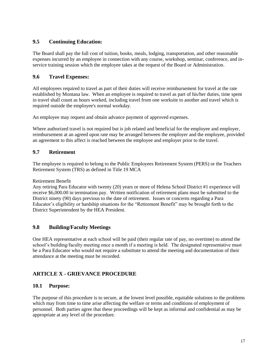## <span id="page-16-0"></span>**9.5 Continuing Education:**

The Board shall pay the full cost of tuition, books, meals, lodging, transportation, and other reasonable expenses incurred by an employee in connection with any course, workshop, seminar, conference, and inservice training session which the employee takes at the request of the Board or Administration.

#### <span id="page-16-1"></span>**9.6 Travel Expenses:**

All employees required to travel as part of their duties will receive reimbursement for travel at the rate established by Montana law. When an employee is required to travel as part of his/her duties, time spent in travel shall count as hours worked, including travel from one worksite to another and travel which is required outside the employee's normal workday.

An employee may request and obtain advance payment of approved expenses.

Where authorized travel is not required but is job related and beneficial for the employee and employer, reimbursement at an agreed upon rate may be arranged between the employer and the employee, provided an agreement to this affect is reached between the employee and employer prior to the travel.

## <span id="page-16-2"></span>**9.7 Retirement**

The employee is required to belong to the Public Employees Retirement System (PERS) or the Teachers Retirement System (TRS) as defined in Title 19 MCA

Retirement Benefit

Any retiring Para Educator with twenty (20) years or more of Helena School District #1 experience will receive \$6,000.00 in termination pay. Written notification of retirement plans must be submitted to the District ninety (90) days previous to the date of retirement. Issues or concerns regarding a Para Educator's eligibility or hardship situations for the "Retirement Benefit" may be brought forth to the District Superintendent by the HEA President.

# <span id="page-16-3"></span>**9.8 Building/Faculty Meetings**

One HEA representative at each school will be paid (their regular rate of pay, no overtime) to attend the school's building/faculty meeting once a month if a meeting is held. The designated representative must be a Para Educator who would not require a substitute to attend the meeting and documentation of their attendance at the meeting must be recorded.

# <span id="page-16-4"></span>**ARTICLE X - GRIEVANCE PROCEDURE**

#### <span id="page-16-5"></span>**10.1 Purpose:**

The purpose of this procedure is to secure, at the lowest level possible, equitable solutions to the problems which may from time to time arise affecting the welfare or terms and conditions of employment of personnel. Both parties agree that these proceedings will be kept as informal and confidential as may be appropriate at any level of the procedure.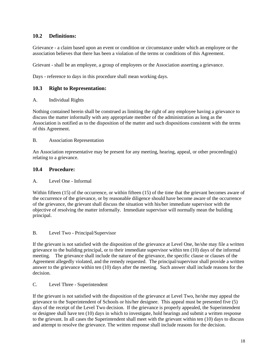# <span id="page-17-0"></span>**10.2 Definitions:**

Grievance - a claim based upon an event or condition or circumstance under which an employee or the association believes that there has been a violation of the terms or conditions of this Agreement.

Grievant - shall be an employee, a group of employees or the Association asserting a grievance.

Days - reference to days in this procedure shall mean working days.

## <span id="page-17-1"></span>**10.3 Right to Representation:**

A. Individual Rights

Nothing contained herein shall be construed as limiting the right of any employee having a grievance to discuss the matter informally with any appropriate member of the administration as long as the Association is notified as to the disposition of the matter and such dispositions consistent with the terms of this Agreement.

#### B. Association Representation

An Association representative may be present for any meeting, hearing, appeal, or other proceeding(s) relating to a grievance.

#### <span id="page-17-2"></span>**10.4 Procedure:**

#### A. Level One - Informal

Within fifteen (15) of the occurrence, or within fifteen (15) of the time that the grievant becomes aware of the occurrence of the grievance, or by reasonable diligence should have become aware of the occurrence of the grievance, the grievant shall discuss the situation with his/her immediate supervisor with the objective of resolving the matter informally. Immediate supervisor will normally mean the building principal.

#### B. Level Two - Principal/Supervisor

If the grievant is not satisfied with the disposition of the grievance at Level One, he/she may file a written grievance to the building principal, or to their immediate supervisor within ten (10) days of the informal meeting. The grievance shall include the nature of the grievance, the specific clause or clauses of the Agreement allegedly violated, and the remedy requested. The principal/supervisor shall provide a written answer to the grievance within ten (10) days after the meeting. Such answer shall include reasons for the decision.

C. Level Three - Superintendent

If the grievant is not satisfied with the disposition of the grievance at Level Two, he/she may appeal the grievance to the Superintendent of Schools or his/her designee. This appeal must be presented five (5) days of the receipt of the Level Two decision. If the grievance is properly appealed, the Superintendent or designee shall have ten (10) days in which to investigate, hold hearings and submit a written response to the grievant. In all cases the Superintendent shall meet with the grievant within ten (10) days to discuss and attempt to resolve the grievance. The written response shall include reasons for the decision.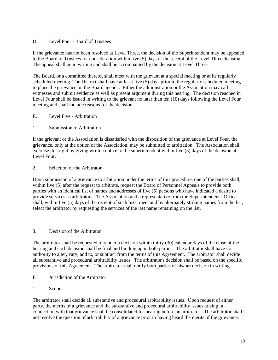#### D. Level Four - Board of Trustees

If the grievance has not been resolved at Level Three, the decision of the Superintendent may be appealed to the Board of Trustees for consideration within five (5) days of the receipt of the Level Three decision. The appeal shall be in writing and shall be accompanied by the decision at Level Three.

The Board, or a committee thereof, shall meet with the grievant at a special meeting or at its regularly scheduled meeting. The District shall have at least five (5) days prior to the regularly scheduled meeting to place the grievance on the Board agenda. Either the administration or the Association may call witnesses and submit evidence as well as present argument during this hearing. The decision reached in Level Four shall be issued in writing to the grievant no later than ten (10) days following the Level Four meeting and shall include reasons for the decision.

- E. Level Five Arbitration
- 1. Submission to Arbitration

If the grievant or the Association is dissatisfied with the disposition of the grievance at Level Four, the grievance, only at the option of the Association, may be submitted to arbitration. The Association shall exercise this right by giving written notice to the superintendent within five (5) days of the decision at Level Four.

2. Selection of the Arbitrator

Upon submission of a grievance to arbitration under the terms of this procedure, one of the parties shall, within five (5) after the request to arbitrate, request the Board of Personnel Appeals to provide both parties with an identical list of names and addresses of five (5) persons who have indicated a desire to provide services as arbitrators. The Association and a representative from the Superintendent's Office shall, within five (5) days of the receipt of such lists, meet and by alternately striking names from the list, select the arbitrator by requesting the services of the last name remaining on the list.

# 3. Decision of the Arbitrator

The arbitrator shall be requested to render a decision within thirty (30) calendar days of the close of the hearing and such decision shall be final and binding upon both parties. The arbitrator shall have no authority to alter, vary, add to, or subtract from the terms of this Agreement. The arbitrator shall decide all substantive and procedural arbitrability issues. The arbitrator's decision shall be based on the specific provisions of this Agreement. The arbitrator shall notify both parties of his/her decision in writing.

- F. Jurisdiction of the Arbitrator
- 1. Scope

The arbitrator shall decide all substantive and procedural arbitrability issues. Upon request of either party, the merits of a grievance and the substantive and procedural arbitrability issues arising in connection with that grievance shall be consolidated for hearing before an arbitrator. The arbitrator shall not resolve the question of arbitrability of a grievance prior to having heard the merits of the grievance.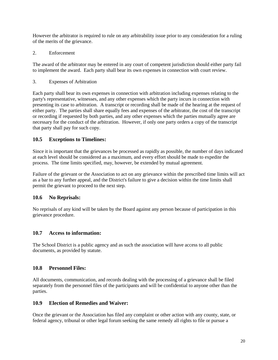However the arbitrator is required to rule on any arbitrability issue prior to any consideration for a ruling of the merits of the grievance.

2. Enforcement

The award of the arbitrator may be entered in any court of competent jurisdiction should either party fail to implement the award. Each party shall bear its own expenses in connection with court review.

3. Expenses of Arbitration

Each party shall bear its own expenses in connection with arbitration including expenses relating to the party's representative, witnesses, and any other expenses which the party incurs in connection with presenting its case to arbitration. A transcript or recording shall be made of the hearing at the request of either party. The parties shall share equally fees and expenses of the arbitrator, the cost of the transcript or recording if requested by both parties, and any other expenses which the parties mutually agree are necessary for the conduct of the arbitration. However, if only one party orders a copy of the transcript that party shall pay for such copy.

## <span id="page-19-0"></span>**10.5 Exceptions to Timelines:**

Since it is important that the grievances be processed as rapidly as possible, the number of days indicated at each level should be considered as a maximum, and every effort should be made to expedite the process. The time limits specified, may, however, be extended by mutual agreement.

Failure of the grievant or the Association to act on any grievance within the prescribed time limits will act as a bar to any further appeal, and the District's failure to give a decision within the time limits shall permit the grievant to proceed to the next step.

#### <span id="page-19-1"></span>**10.6 No Reprisals:**

No reprisals of any kind will be taken by the Board against any person because of participation in this grievance procedure.

#### <span id="page-19-2"></span>**10.7 Access to information:**

The School District is a public agency and as such the association will have access to all public documents, as provided by statute.

#### <span id="page-19-3"></span>**10.8 Personnel Files:**

All documents, communication, and records dealing with the processing of a grievance shall be filed separately from the personnel files of the participants and will be confidential to anyone other than the parties.

#### <span id="page-19-4"></span>**10.9 Election of Remedies and Waiver:**

Once the grievant or the Association has filed any complaint or other action with any county, state, or federal agency, tribunal or other legal forum seeking the same remedy all rights to file or pursue a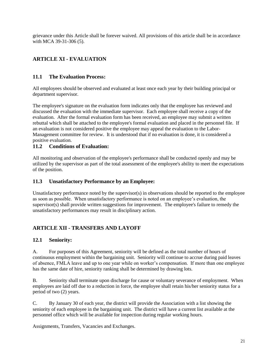grievance under this Article shall be forever waived. All provisions of this article shall be in accordance with MCA 39-31-306 (5).

# <span id="page-20-0"></span>**ARTICLE XI - EVALUATION**

# <span id="page-20-1"></span>**11.1 The Evaluation Process:**

All employees should be observed and evaluated at least once each year by their building principal or department supervisor.

The employee's signature on the evaluation form indicates only that the employee has reviewed and discussed the evaluation with the immediate supervisor. Each employee shall receive a copy of the evaluation. After the formal evaluation form has been received, an employee may submit a written rebuttal which shall be attached to the employee's formal evaluation and placed in the personnel file. If an evaluation is not considered positive the employee may appeal the evaluation to the Labor-Management committee for review. It is understood that if no evaluation is done, it is considered a positive evaluation.

# <span id="page-20-2"></span>**11.2 Conditions of Evaluation:**

All monitoring and observation of the employee's performance shall be conducted openly and may be utilized by the supervisor as part of the total assessment of the employee's ability to meet the expectations of the position.

# <span id="page-20-3"></span>**11.3 Unsatisfactory Performance by an Employee:**

Unsatisfactory performance noted by the supervisor(s) in observations should be reported to the employee as soon as possible. When unsatisfactory performance is noted on an employee's evaluation, the supervisor(s) shall provide written suggestions for improvement. The employee's failure to remedy the unsatisfactory performances may result in disciplinary action.

# <span id="page-20-4"></span>**ARTICLE XII - TRANSFERS AND LAYOFF**

# <span id="page-20-5"></span>**12.1 Seniority:**

A. For purposes of this Agreement, seniority will be defined as the total number of hours of continuous employment within the bargaining unit. Seniority will continue to accrue during paid leaves of absence, FMLA leave and up to one year while on worker's compensation. If more than one employee has the same date of hire, seniority ranking shall be determined by drawing lots.

B. Seniority shall terminate upon discharge for cause or voluntary severance of employment. When employees are laid off due to a reduction in force, the employee shall retain his/her seniority status for a period of two (2) years.

C. By January 30 of each year, the district will provide the Association with a list showing the seniority of each employee in the bargaining unit. The district will have a current list available at the personnel office which will be available for inspection during regular working hours.

Assignments, Transfers, Vacancies and Exchanges.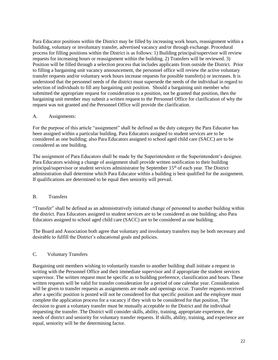Para Educator positions within the District may be filled by increasing work hours, reassignment within a building, voluntary or involuntary transfer, advertised vacancy and/or through exchange. Procedural process for filling positions within the District is as follows: 1) Building principal/supervisor will review requests for increasing hours or reassignment within the building. 2) Transfers will be reviewed. 3) Position will be filled through a selection process that includes applicants from outside the District. Prior to filling a bargaining unit vacancy announcement, the personnel office will review the active voluntary transfer requests and/or voluntary work hours increase requests for possible transfer(s) or increases. It is understood that the personnel needs of the district must supersede the needs of the individual in regard to selection of individuals to fill any bargaining unit position. Should a bargaining unit member who submitted the appropriate request for consideration to a position, not be granted that position, then the bargaining unit member may submit a written request to the Personnel Office for clarification of why the request was not granted and the Personnel Office will provide the clarification.

#### A. Assignments:

For the purpose of this article "assignment" shall be defined as the duty category the Para Educator has been assigned within a particular building. Para Educators assigned to student services are to be considered as one building; also Para Educators assigned to school aged child care (SACC) are to be considered as one building.

The assignment of Para Educators shall be made by the Superintendent or the Superintendent's designee. Para Educators wishing a change of assignment shall provide written notification to their building principal/supervisor or student services administrator by September 15<sup>th</sup> of each year. The District administration shall determine which Para Educator within a building is best qualified for the assignment. If qualifications are determined to be equal then seniority will prevail.

#### B. Transfers

"Transfer" shall be defined as an administratively initiated change of personnel to another building within the district. Para Educators assigned to student services are to be considered as one building; also Para Educators assigned to school aged child care (SACC) are to be considered as one building.

The Board and Association both agree that voluntary and involuntary transfers may be both necessary and desirable to fulfill the District's educational goals and policies.

#### C. Voluntary Transfers

Bargaining unit members wishing to voluntarily transfer to another building shall initiate a request in writing with the Personnel Office and their immediate supervisor and if appropriate the student services supervisor. The written request must be specific as to building preference, classification and hours. These written requests will be valid for transfer consideration for a period of one calendar year. Consideration will be given to transfer requests as assignments are made and openings occur. Transfer requests received after a specific position is posted will not be considered for that specific position and the employee must complete the application process for a vacancy if they wish to be considered for that position. The decision to grant a voluntary transfer must be mutually acceptable to the District and the individual requesting the transfer. The District will consider skills, ability, training, appropriate experience, the needs of district and seniority for voluntary transfer requests. If skills, ability, training, and experience are equal, seniority will be the determining factor.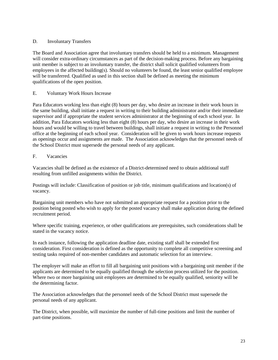#### D. Involuntary Transfers

The Board and Association agree that involuntary transfers should be held to a minimum. Management will consider extra-ordinary circumstances as part of the decision-making process. Before any bargaining unit member is subject to an involuntary transfer, the district shall solicit qualified volunteers from employees in the affected building(s). Should no volunteers be found, the least senior qualified employee will be transferred. Qualified as used in this section shall be defined as meeting the minimum qualifications of the open position.

#### E. Voluntary Work Hours Increase

Para Educators working less than eight (8) hours per day, who desire an increase in their work hours in the same building, shall initiate a request in writing to their building administrator and/or their immediate supervisor and if appropriate the student services administrator at the beginning of each school year. In addition, Para Educators working less than eight (8) hours per day, who desire an increase in their work hours and would be willing to travel between buildings, shall initiate a request in writing to the Personnel office at the beginning of each school year. Consideration will be given to work hours increase requests as openings occur and assignments are made. The Association acknowledges that the personnel needs of the School District must supersede the personal needs of any applicant.

#### F. Vacancies

Vacancies shall be defined as the existence of a District-determined need to obtain additional staff resulting from unfilled assignments within the District.

Postings will include: Classification of position or job title, minimum qualifications and location(s) of vacancy.

Bargaining unit members who have not submitted an appropriate request for a position prior to the position being posted who wish to apply for the posted vacancy shall make application during the defined recruitment period.

Where specific training, experience, or other qualifications are prerequisites, such considerations shall be stated in the vacancy notice.

In each instance, following the application deadline date, existing staff shall be extended first consideration. First consideration is defined as the opportunity to complete all competitive screening and testing tasks required of non-member candidates and automatic selection for an interview.

The employer will make an effort to fill all bargaining unit positions with a bargaining unit member if the applicants are determined to be equally qualified through the selection process utilized for the position. Where two or more bargaining unit employees are determined to be equally qualified, seniority will be the determining factor.

The Association acknowledges that the personnel needs of the School District must supersede the personal needs of any applicant.

The District, when possible, will maximize the number of full-time positions and limit the number of part-time positions.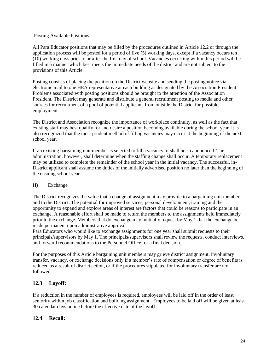#### Posting Available Positions.

All Para Educator positions that may be filled by the procedures outlined in Article 12.2 or through the application process will be posted for a period of five (5) working days, except if a vacancy occurs ten (10) working days prior to or after the first day of school. Vacancies occurring within this period will be filled in a manner which best meets the immediate needs of the district and are not subject to the provisions of this Article.

Posting consists of placing the position on the District website and sending the posting notice via electronic mail to one HEA representative at each building as designated by the Association President. Problems associated with posting positions should be brought to the attention of the Association President*.* The District may generate and distribute a general recruitment posting to media and other sources for recruitment of a pool of potential applicants from outside the District for possible employment.

The District and Association recognize the importance of workplace continuity, as well as the fact that existing staff may best qualify for and desire a position becoming available during the school year. It is also recognized that the most prudent method of filling vacancies may occur at the beginning of the next school year.

If an existing bargaining unit member is selected to fill a vacancy, it shall be so announced. The administration, however, shall determine when the staffing change shall occur. A temporary replacement may be utilized to complete the remainder of the school year in the initial vacancy. The successful, in-District applicant shall assume the duties of the initially advertised position no later than the beginning of the ensuing school year.

#### H) Exchange

The District recognizes the value that a change of assignment may provide to a bargaining unit member and to the District. The potential for improved services, personal development, training and the opportunity to expand and explore areas of interest are factors that could be reasons to participate in an exchange. A reasonable effort shall be made to return the members to the assignments held immediately prior to the exchange. Members that do exchange may mutually request by May 1 that the exchange be made permanent upon administrative approval.

Para Educators who would like to exchange assignments for one year shall submit requests to their principals/supervisors by May 1. The principals/supervisors shall review the requests, conduct interviews, and forward recommendations to the Personnel Office for a final decision.

For the purposes of this Article bargaining unit members may grieve district assignment, involuntary transfer, vacancy, or exchange decisions only if a member's rate of compensation or degree of benefits is reduced as a result of district action, or if the procedures stipulated for involuntary transfer are not followed.

#### <span id="page-23-0"></span>**12.3 Layoff:**

If a reduction in the number of employees is required, employees will be laid off in the order of least seniority within job classification and building assignment. Employees to be laid off will be given at least 30 calendar days notice before the effective date of the layoff.

#### <span id="page-23-1"></span>**12.4 Recall:**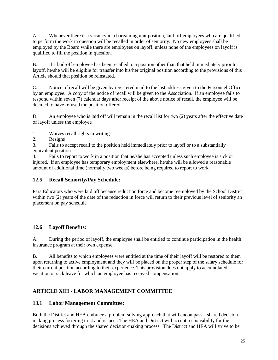A. Whenever there is a vacancy in a bargaining unit position, laid-off employees who are qualified to perform the work in question will be recalled in order of seniority. No new employees shall be employed by the Board while there are employees on layoff, unless none of the employees on layoff is qualified to fill the position in question.

B. If a laid-off employee has been recalled to a position other than that held immediately prior to layoff, he/she will be eligible for transfer into his/her original position according to the provisions of this Article should that position be reinstated.

C. Notice of recall will be given by registered mail to the last address given to the Personnel Office by an employee. A copy of the notice of recall will be given to the Association. If an employee fails to respond within seven (7) calendar days after receipt of the above notice of recall, the employee will be deemed to have refused the position offered.

D. An employee who is laid off will remain in the recall list for two (2) years after the effective date of layoff unless the employee

1. Waives recall rights in writing

2. Resigns

3. Fails to accept recall to the position held immediately prior to layoff or to a substantially equivalent position

4. Fails to report to work in a position that he/she has accepted unless such employee is sick or injured. If an employee has temporary employment elsewhere, he/she will be allowed a reasonable amount of additional time (normally two weeks) before being required to report to work.

# <span id="page-24-0"></span>**12.5 Recall Seniority/Pay Schedule:**

Para Educators who were laid off because reduction force and become reemployed by the School District within two (2) years of the date of the reduction in force will return to their previous level of seniority an placement on pay schedule

# <span id="page-24-1"></span>**12.6 Layoff Benefits:**

A. During the period of layoff, the employee shall be entitled to continue participation in the health insurance program at their own expense.

B. All benefits to which employees were entitled at the time of their layoff will be restored to them upon returning to active employment and they will be placed on the proper step of the salary schedule for their current position according to their experience. This provision does not apply to accumulated vacation or sick leave for which an employee has received compensation.

# <span id="page-24-2"></span>**ARTICLE XIII - LABOR MANAGEMENT COMMITTEE**

# <span id="page-24-3"></span>**13.1 Labor Management Committee:**

Both the District and HEA embrace a problem-solving approach that will encompass a shared decision making process fostering trust and respect. The HEA and District will accept responsibility for the decisions achieved through the shared decision-making process. The District and HEA will strive to be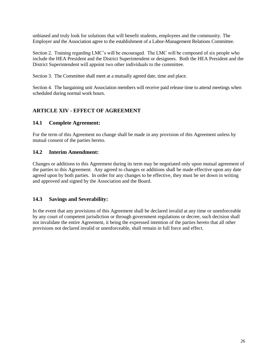unbiased and truly look for solutions that will benefit students, employees and the community. The Employer and the Association agree to the establishment of a Labor-Management Relations Committee.

Section 2. Training regarding LMC's will be encouraged. The LMC will be composed of six people who include the HEA President and the District Superintendent or designees. Both the HEA President and the District Superintendent will appoint two other individuals to the committee.

Section 3. The Committee shall meet at a mutually agreed date, time and place.

Section 4. The bargaining unit Association members will receive paid release time to attend meetings when scheduled during normal work hours.

# <span id="page-25-0"></span>**ARTICLE XIV - EFFECT OF AGREEMENT**

## <span id="page-25-1"></span>**14.1 Complete Agreement:**

For the term of this Agreement no change shall be made in any provision of this Agreement unless by mutual consent of the parties hereto.

#### <span id="page-25-2"></span>**14.2 Interim Amendment:**

Changes or additions to this Agreement during its term may be negotiated only upon mutual agreement of the parties to this Agreement. Any agreed to changes or additions shall be made effective upon any date agreed upon by both parties. In order for any changes to be effective, they must be set down in writing and approved and signed by the Association and the Board.

# <span id="page-25-3"></span>**14.3 Savings and Severability:**

In the event that any provisions of this Agreement shall be declared invalid at any time or unenforceable by any court of competent jurisdiction or through government regulations or decree, such decision shall not invalidate the entire Agreement, it being the expressed intention of the parties hereto that all other provisions not declared invalid or unenforceable, shall remain in full force and effect.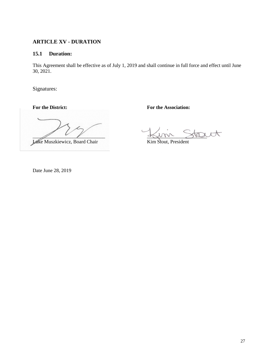# <span id="page-26-0"></span>**ARTICLE XV - DURATION**

## <span id="page-26-1"></span>**15.1 Duration:**

This Agreement shall be effective as of July 1, 2019 and shall continue in full force and effect until June 30, 2021.

Signatures:

**For the District: For the Association:**

 $\frac{1}{2}$ 

Luke Muszkiewicz, Board Chair Kim Stout, President

Date June 28, 2019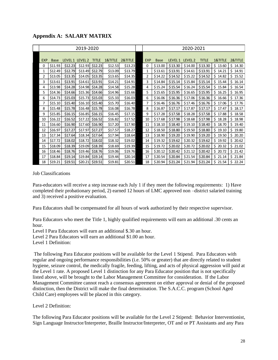<span id="page-27-0"></span>

|     | 2019-2020   |                 |         |              |         |         | 2020-2021  |             |         |                    |              |              |             |
|-----|-------------|-----------------|---------|--------------|---------|---------|------------|-------------|---------|--------------------|--------------|--------------|-------------|
|     |             |                 |         |              |         |         |            |             |         |                    |              |              |             |
| EXP | <b>Base</b> | LEVEL 1 LEVEL 2 |         | <b>TITLE</b> | 1&TITLE | 2&TITLE | <b>EXP</b> | <b>Base</b> | LEVEL 1 | LEVEL <sub>2</sub> | <b>TITLE</b> | 1&TITLE      | 2&TITLE     |
| 0   | \$11.93     | \$12.23         | \$12.93 | \$12.23      | \$12.53 | \$13.23 | 0          | \$13.00     | \$13.30 | \$14.00            | \$13.30      | \$13.60      | \$14.30     |
| 1   | \$12.49     | \$12.79         | \$13.49 | \$12.79      | \$13.09 | \$13.79 | 1          | \$13.61     | \$13.91 | \$14.61            | \$13.91      | \$14.21      | \$14.91     |
| 2   | \$13.05     | \$13.35         | \$14.05 | \$13.35      | \$13.65 | \$14.35 | 2          | \$14.22     | \$14.52 | \$15.22            | \$14.52      | \$14.82      | \$15.52     |
| 3   | \$13.61     | \$13.91         | \$14.61 | \$13.91      | \$14.21 | \$14.91 | 3          | \$14.84     | \$15.14 | \$15.84            | \$15.14      | \$15.44      | \$16.14     |
| 4   | \$13.98     | \$14.28         | \$14.98 | \$14.28      | \$14.58 | \$15.28 | 4          | \$15.24     | \$15.54 | \$16.24            | \$15.54      | \$15.84      | Ś.<br>16.54 |
| 5   | \$14.36     | \$14.66         | \$15.36 | \$14.66      | \$14.96 | \$15.66 | 5          | \$15.65     | \$15.95 | \$16.65            | \$15.95      | \$16.25      | Ś.<br>16.95 |
| 6   | \$14.73     | \$15.03         | \$15.73 | \$15.03      | \$15.33 | \$16.03 | 6          | \$16.06     | \$16.36 | \$17.06            | \$16.36      | \$16.66      | \$17.36     |
| 7   | \$15.10     | \$15.40         | \$16.10 | \$15.40      | \$15.70 | \$16.40 | 7          | \$16.46     | \$16.76 | \$17.46            | \$16.76      | \$17.06      | Ś.<br>17.76 |
| 8   | \$15.48     | \$15.78         | \$16.48 | \$15.78      | \$16.08 | \$16.78 | 8          | \$16.87     | \$17.17 | \$17.87            | \$17.17      | \$17.47      | \$18.17     |
| 9   | \$15.85     | \$16.15         | \$16.85 | \$16.15      | \$16.45 | \$17.15 | 9          | \$17.28     | \$17.58 | \$18.28            | \$17.58      | \$17.88      | \$18.58     |
| 10  | \$16.22     | \$16.52         | \$17.22 | \$16.52      | \$16.82 | \$17.52 | 10         | \$17.68     | \$17.98 | \$18.68            | \$17.98      | \$.<br>18.28 | \$<br>18.98 |
| 11  | \$16.60     | \$16.90         | \$17.60 | \$16.90      | \$17.20 | \$17.90 | 11         | \$18.10     | \$18.40 | \$19.10            | \$18.40      | \$18.70      | \$19.40     |
| 12  | \$16.97     | \$17.27         | \$17.97 | \$17.27      | \$17.57 | \$18.27 | 12         | \$18.50     | \$18.80 | \$19.50            | \$18.80      | \$19.10      | \$19.80     |
| 13  | \$17.34     | \$17.64         | \$18.34 | \$17.64      | \$17.94 | \$18.64 | 13         | \$18.90     | \$19.20 | \$19.90            | \$19.20      | \$19.50      | \$<br>20.20 |
| 14  | \$17.72     | \$18.02         | \$18.72 | \$18.02      | \$18.32 | \$19.02 | 14         | \$19.32     | \$19.62 | \$20.32            | \$19.62      | \$19.92      | Ś.<br>20.62 |
| 15  | \$18.09     | \$18.39         | \$19.09 | \$18.39      | \$18.69 | \$19.39 | 15         | \$19.72     | \$20.02 | \$20.72            | \$20.02      | \$20.32      | \$21.02     |
| 16  | \$18.46     | \$18.76         | \$19.46 | \$18.76      | \$19.06 | \$19.76 | 16         | \$20.12     | \$20.42 | \$21.12            | \$20.42      | \$20.72      | \$21.42     |
| 17  | \$18.84     | \$19.14         | \$19.84 | \$19.14      | \$19.44 | \$20.14 | 17         | \$20.54     | \$20.84 | \$21.54            | \$20.84      | \$21.14      | \$21.84     |
| 18  | \$19.21     | \$19.51         | \$20.21 | \$19.51      | \$19.81 | \$20.51 | 18         | \$20.94     | \$21.24 | \$21.94            | \$21.24      | \$21.54      | \$22.24     |

#### Job Classifications

Para-educators will receive a step increase each July 1 if they meet the following requirements: 1) Have completed their probationary period, 2) earned 12 hours of LMC approved non –district salaried training and 3) received a positive evaluation.

Para Educators shall be compensated for all hours of work authorized by their respective supervisor.

Para Educators who meet the Title 1, highly qualified requirements will earn an additional .30 cents an hour.

Level I Para Educators will earn an additional \$.30 an hour.

Level 2 Para Educators will earn an additional \$1.00 an hour.

Level 1 Definition:

The following Para Educator positions will be available for the Level 1 Stipend. Para Educators with regular and ongoing performance responsibilities (i.e. 50% or greater) that are directly related to student hygiene, seizure control, the medically fragile, feeding, lifting, and acts of physical aggression will paid at the Level 1 rate. A proposed Level 1 distinction for any Para Educator position that is not specifically listed above, will be brought to the Labor Management Committee for consideration. If the Labor Management Committee cannot reach a consensus agreement on either approval or denial of the proposed distinction, then the District will make the final determination. The S.A.C.C. program (School Aged Child Care) employees will be placed in this category.

Level 2 Definition:

The following Para Educator positions will be available for the Level 2 Stipend: Behavior Interventionist, Sign Language Instructor/Interpreter, Braille Instructor/Interpreter, OT and or PT Assistants and any Para